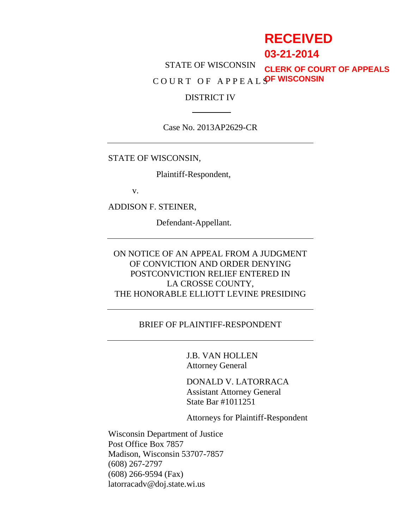# **RECEIVED**

# **03-21-2014**

STATE OF WISCONSIN C O U R T O F A P P E A L S **OF WISCONSINCLERK OF COURT OF APPEALS**

#### DISTRICT IV

Case No. 2013AP2629-CR

STATE OF WISCONSIN,

Plaintiff-Respondent,

v.

ADDISON F. STEINER,

Defendant-Appellant.

# ON NOTICE OF AN APPEAL FROM A JUDGMENT OF CONVICTION AND ORDER DENYING POSTCONVICTION RELIEF ENTERED IN LA CROSSE COUNTY, THE HONORABLE ELLIOTT LEVINE PRESIDING

#### BRIEF OF PLAINTIFF-RESPONDENT

J.B. VAN HOLLEN Attorney General

DONALD V. LATORRACA Assistant Attorney General State Bar #1011251

Attorneys for Plaintiff-Respondent

Wisconsin Department of Justice Post Office Box 7857 Madison, Wisconsin 53707-7857 (608) 267-2797 (608) 266-9594 (Fax) latorracadv@doj.state.wi.us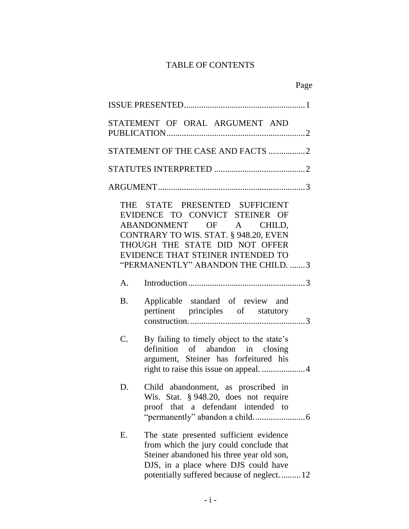# TABLE OF CONTENTS

|                 | STATEMENT OF ORAL ARGUMENT AND                                                                                                                                                                                                                    |
|-----------------|---------------------------------------------------------------------------------------------------------------------------------------------------------------------------------------------------------------------------------------------------|
|                 | STATEMENT OF THE CASE AND FACTS 2                                                                                                                                                                                                                 |
|                 |                                                                                                                                                                                                                                                   |
|                 |                                                                                                                                                                                                                                                   |
|                 | THE STATE PRESENTED SUFFICIENT<br>EVIDENCE TO CONVICT STEINER OF<br>ABANDONMENT OF A CHILD,<br>CONTRARY TO WIS. STAT. § 948.20, EVEN<br>THOUGH THE STATE DID NOT OFFER<br>EVIDENCE THAT STEINER INTENDED TO<br>"PERMANENTLY" ABANDON THE CHILD. 3 |
| A.              |                                                                                                                                                                                                                                                   |
| <b>B.</b>       | Applicable standard of review and<br>pertinent principles of statutory                                                                                                                                                                            |
| $\mathcal{C}$ . | By failing to timely object to the state's<br>definition of abandon in closing<br>argument, Steiner has forfeitured his                                                                                                                           |
| D.              | Child abandonment, as proscribed in<br>Wis. Stat. § 948.20, does not require<br>proof that a defendant intended to                                                                                                                                |
| Ε.              | The state presented sufficient evidence<br>from which the jury could conclude that<br>Steiner abandoned his three year old son,<br>DJS, in a place where DJS could have<br>potentially suffered because of neglect12                              |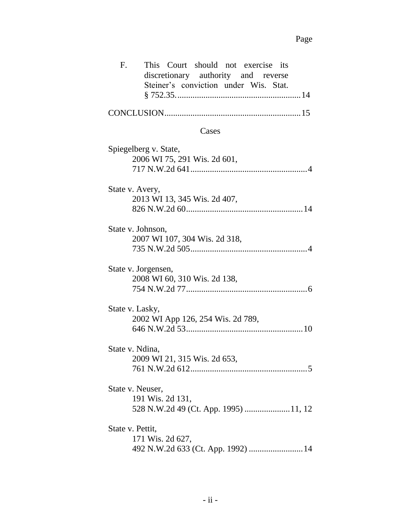| This Court should not exercise its<br>F.<br>discretionary authority and reverse<br>Steiner's conviction under Wis. Stat. |
|--------------------------------------------------------------------------------------------------------------------------|
|                                                                                                                          |
| Cases                                                                                                                    |
| Spiegelberg v. State,<br>2006 WI 75, 291 Wis. 2d 601,                                                                    |
| State v. Avery,<br>2013 WI 13, 345 Wis. 2d 407,                                                                          |
| State v. Johnson,<br>2007 WI 107, 304 Wis. 2d 318,                                                                       |
| State v. Jorgensen,<br>2008 WI 60, 310 Wis. 2d 138,                                                                      |
| State v. Lasky,<br>2002 WI App 126, 254 Wis. 2d 789,                                                                     |
| State v. Ndina,<br>2009 WI 21, 315 Wis. 2d 653,                                                                          |
| State v. Neuser,<br>191 Wis. 2d 131,<br>528 N.W.2d 49 (Ct. App. 1995)  11, 12                                            |
| State v. Pettit,<br>171 Wis. 2d 627,<br>492 N.W.2d 633 (Ct. App. 1992)  14                                               |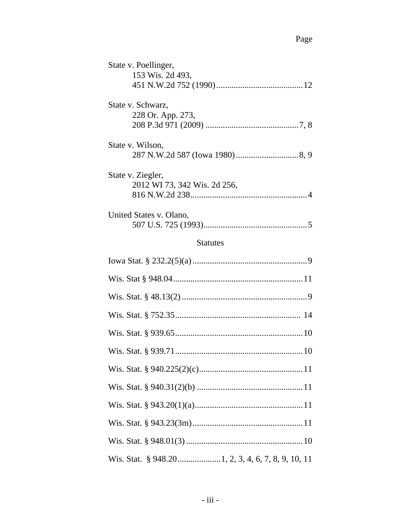| State v. Poellinger,<br>153 Wis. 2d 493,          |  |  |  |  |
|---------------------------------------------------|--|--|--|--|
| State v. Schwarz,<br>228 Or. App. 273,            |  |  |  |  |
| State v. Wilson,                                  |  |  |  |  |
| State v. Ziegler,<br>2012 WI 73, 342 Wis. 2d 256, |  |  |  |  |
| United States v. Olano,                           |  |  |  |  |
| <b>Statutes</b>                                   |  |  |  |  |
|                                                   |  |  |  |  |
|                                                   |  |  |  |  |
|                                                   |  |  |  |  |
|                                                   |  |  |  |  |
|                                                   |  |  |  |  |
|                                                   |  |  |  |  |
|                                                   |  |  |  |  |
|                                                   |  |  |  |  |
|                                                   |  |  |  |  |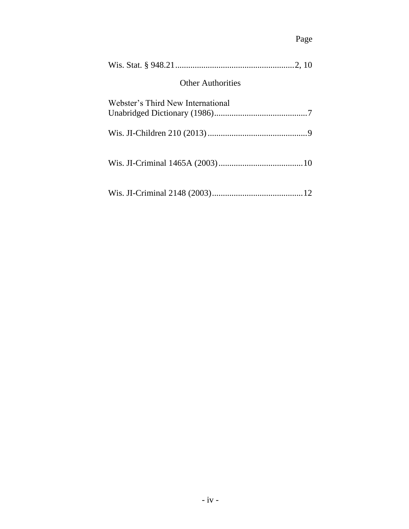# Page

| <b>Other Authorities</b>          |  |
|-----------------------------------|--|
| Webster's Third New International |  |
|                                   |  |
|                                   |  |
|                                   |  |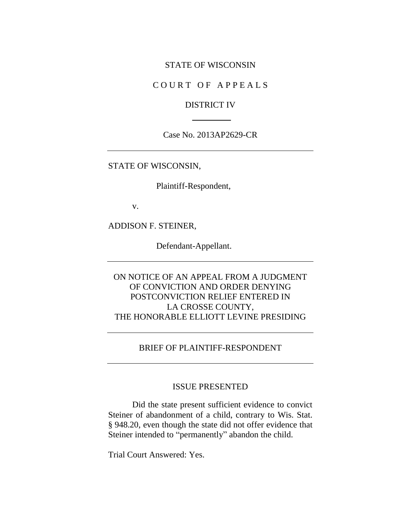#### STATE OF WISCONSIN

### COURT OF APPEALS

#### DISTRICT IV

Case No. 2013AP2629-CR

STATE OF WISCONSIN,

Plaintiff-Respondent,

v.

ADDISON F. STEINER,

Defendant-Appellant.

ON NOTICE OF AN APPEAL FROM A JUDGMENT OF CONVICTION AND ORDER DENYING POSTCONVICTION RELIEF ENTERED IN LA CROSSE COUNTY, THE HONORABLE ELLIOTT LEVINE PRESIDING

#### BRIEF OF PLAINTIFF-RESPONDENT

#### ISSUE PRESENTED

Did the state present sufficient evidence to convict Steiner of abandonment of a child, contrary to Wis. Stat. § 948.20, even though the state did not offer evidence that Steiner intended to "permanently" abandon the child.

Trial Court Answered: Yes.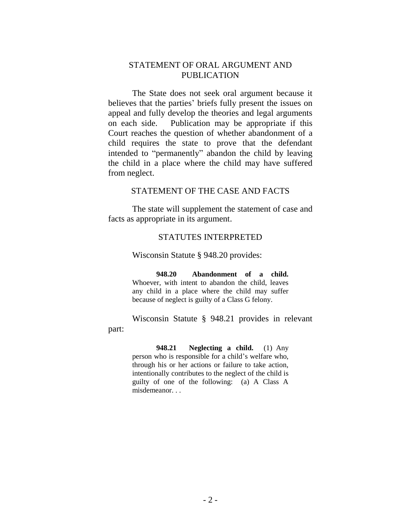### STATEMENT OF ORAL ARGUMENT AND PUBLICATION

The State does not seek oral argument because it believes that the parties' briefs fully present the issues on appeal and fully develop the theories and legal arguments on each side. Publication may be appropriate if this Court reaches the question of whether abandonment of a child requires the state to prove that the defendant intended to "permanently" abandon the child by leaving the child in a place where the child may have suffered from neglect.

#### STATEMENT OF THE CASE AND FACTS

The state will supplement the statement of case and facts as appropriate in its argument.

#### STATUTES INTERPRETED

Wisconsin Statute § 948.20 provides:

part:

**948.20 Abandonment of a child.** Whoever, with intent to abandon the child, leaves any child in a place where the child may suffer because of neglect is guilty of a Class G felony.

Wisconsin Statute § 948.21 provides in relevant

**948.21 Neglecting a child.** (1) Any person who is responsible for a child's welfare who, through his or her actions or failure to take action, intentionally contributes to the neglect of the child is guilty of one of the following: (a) A Class A misdemeanor. . .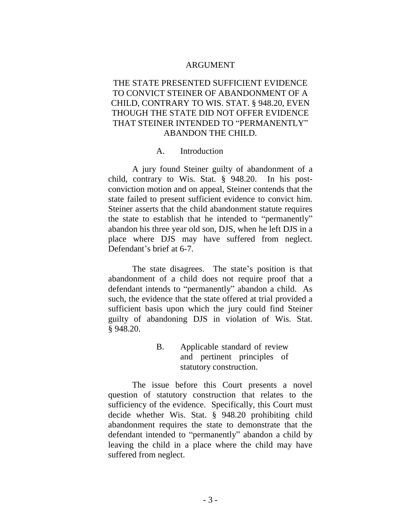#### ARGUMENT

## THE STATE PRESENTED SUFFICIENT EVIDENCE TO CONVICT STEINER OF ABANDONMENT OF A CHILD, CONTRARY TO WIS. STAT. § 948.20, EVEN THOUGH THE STATE DID NOT OFFER EVIDENCE THAT STEINER INTENDED TO "PERMANENTLY" ABANDON THE CHILD.

#### A. Introduction

A jury found Steiner guilty of abandonment of a child, contrary to Wis. Stat. § 948.20. In his postconviction motion and on appeal, Steiner contends that the state failed to present sufficient evidence to convict him. Steiner asserts that the child abandonment statute requires the state to establish that he intended to "permanently" abandon his three year old son, DJS, when he left DJS in a place where DJS may have suffered from neglect. Defendant's brief at 6-7.

The state disagrees. The state's position is that abandonment of a child does not require proof that a defendant intends to "permanently" abandon a child. As such, the evidence that the state offered at trial provided a sufficient basis upon which the jury could find Steiner guilty of abandoning DJS in violation of Wis. Stat. § 948.20.

> B. Applicable standard of review and pertinent principles of statutory construction.

The issue before this Court presents a novel question of statutory construction that relates to the sufficiency of the evidence. Specifically, this Court must decide whether Wis. Stat. § 948.20 prohibiting child abandonment requires the state to demonstrate that the defendant intended to "permanently" abandon a child by leaving the child in a place where the child may have suffered from neglect.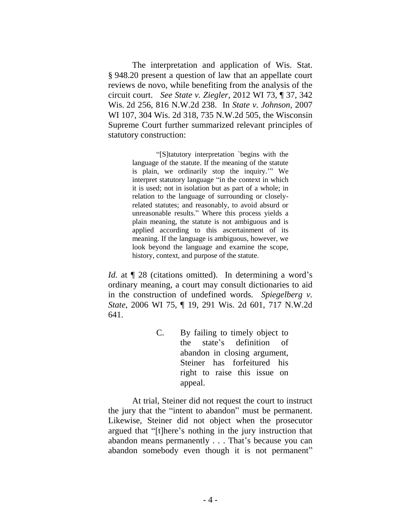The interpretation and application of Wis. Stat. § 948.20 present a question of law that an appellate court reviews de novo, while benefiting from the analysis of the circuit court. *See State v. Ziegler*, 2012 WI 73, ¶ 37, 342 Wis. 2d 256, 816 N.W.2d 238. In *State v. Johnson*, 2007 WI 107, 304 Wis. 2d 318, 735 N.W.2d 505, the Wisconsin Supreme Court further summarized relevant principles of statutory construction:

> "[S]tatutory interpretation `begins with the language of the statute. If the meaning of the statute is plain, we ordinarily stop the inquiry.'" We interpret statutory language "in the context in which it is used; not in isolation but as part of a whole; in relation to the language of surrounding or closelyrelated statutes; and reasonably, to avoid absurd or unreasonable results." Where this process yields a plain meaning, the statute is not ambiguous and is applied according to this ascertainment of its meaning. If the language is ambiguous, however, we look beyond the language and examine the scope, history, context, and purpose of the statute.

*Id.* at  $\P$  28 (citations omitted). In determining a word's ordinary meaning, a court may consult dictionaries to aid in the construction of undefined words. *Spiegelberg v. State*, 2006 WI 75, ¶ 19, 291 Wis. 2d 601, 717 N.W.2d 641.

> C. By failing to timely object to the state's definition of abandon in closing argument, Steiner has forfeitured his right to raise this issue on appeal.

At trial, Steiner did not request the court to instruct the jury that the "intent to abandon" must be permanent. Likewise, Steiner did not object when the prosecutor argued that "[t]here's nothing in the jury instruction that abandon means permanently . . . That's because you can abandon somebody even though it is not permanent"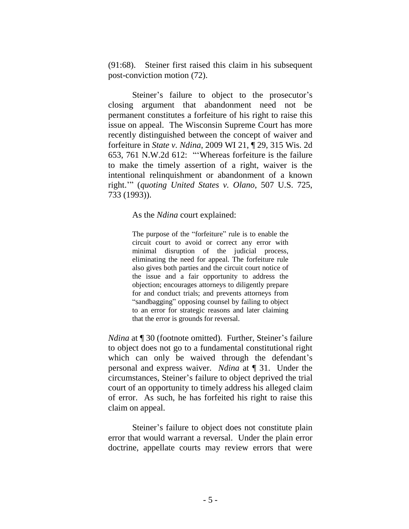(91:68). Steiner first raised this claim in his subsequent post-conviction motion (72).

Steiner's failure to object to the prosecutor's closing argument that abandonment need not be permanent constitutes a forfeiture of his right to raise this issue on appeal. The Wisconsin Supreme Court has more recently distinguished between the concept of waiver and forfeiture in *State v. Ndina*, 2009 WI 21, ¶ 29, 315 Wis. 2d 653, 761 N.W.2d 612: "'Whereas forfeiture is the failure to make the timely assertion of a right, waiver is the intentional relinquishment or abandonment of a known right.'" (*quoting United States v. Olano*, 507 U.S. 725, 733 (1993)).

As the *Ndina* court explained:

The purpose of the "forfeiture" rule is to enable the circuit court to avoid or correct any error with minimal disruption of the judicial process, eliminating the need for appeal. The forfeiture rule also gives both parties and the circuit court notice of the issue and a fair opportunity to address the objection; encourages attorneys to diligently prepare for and conduct trials; and prevents attorneys from "sandbagging" opposing counsel by failing to object to an error for strategic reasons and later claiming that the error is grounds for reversal.

*Ndina* at  $\P$  30 (footnote omitted). Further, Steiner's failure to object does not go to a fundamental constitutional right which can only be waived through the defendant's personal and express waiver. *Ndina* at ¶ 31. Under the circumstances, Steiner's failure to object deprived the trial court of an opportunity to timely address his alleged claim of error. As such, he has forfeited his right to raise this claim on appeal.

Steiner's failure to object does not constitute plain error that would warrant a reversal. Under the plain error doctrine, appellate courts may review errors that were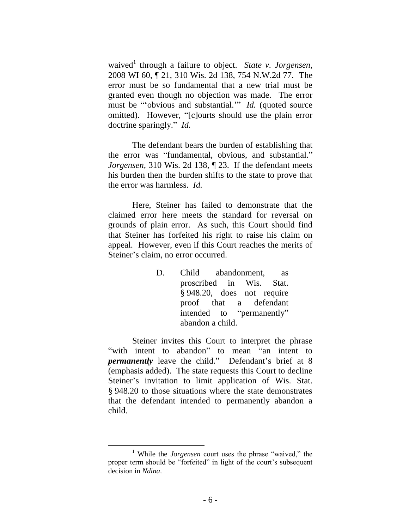waived<sup>1</sup> through a failure to object. *State v. Jorgensen*, 2008 WI 60, ¶ 21, 310 Wis. 2d 138, 754 N.W.2d 77. The error must be so fundamental that a new trial must be granted even though no objection was made. The error must be "'obvious and substantial.'" *Id.* (quoted source omitted). However, "[c]ourts should use the plain error doctrine sparingly." *Id.*

The defendant bears the burden of establishing that the error was "fundamental, obvious, and substantial." *Jorgensen,* 310 Wis. 2d 138, ¶ 23. If the defendant meets his burden then the burden shifts to the state to prove that the error was harmless. *Id.*

Here, Steiner has failed to demonstrate that the claimed error here meets the standard for reversal on grounds of plain error. As such, this Court should find that Steiner has forfeited his right to raise his claim on appeal. However, even if this Court reaches the merits of Steiner's claim, no error occurred.

> D. Child abandonment, as proscribed in Wis. Stat. § 948.20, does not require proof that a defendant intended to "permanently" abandon a child.

Steiner invites this Court to interpret the phrase "with intent to abandon" to mean "an intent to *permanently* leave the child." Defendant's brief at 8 (emphasis added). The state requests this Court to decline Steiner's invitation to limit application of Wis. Stat. § 948.20 to those situations where the state demonstrates that the defendant intended to permanently abandon a child.

 $\overline{a}$ 

<sup>1</sup> While the *Jorgensen* court uses the phrase "waived," the proper term should be "forfeited" in light of the court's subsequent decision in *Ndina*.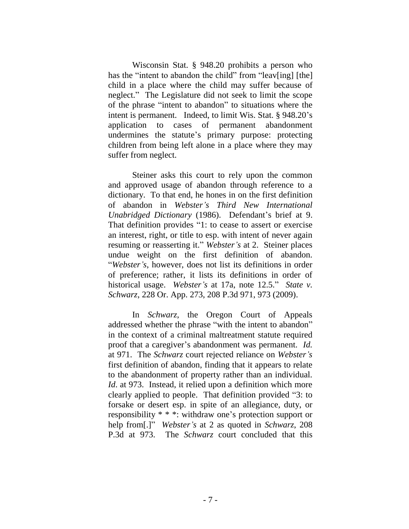Wisconsin Stat. § 948.20 prohibits a person who has the "intent to abandon the child" from "leav[ing] [the] child in a place where the child may suffer because of neglect." The Legislature did not seek to limit the scope of the phrase "intent to abandon" to situations where the intent is permanent. Indeed, to limit Wis. Stat. § 948.20's application to cases of permanent abandonment undermines the statute's primary purpose: protecting children from being left alone in a place where they may suffer from neglect.

Steiner asks this court to rely upon the common and approved usage of abandon through reference to a dictionary. To that end, he hones in on the first definition of abandon in *Webster's Third New International Unabridged Dictionary* (1986). Defendant's brief at 9. That definition provides "1: to cease to assert or exercise an interest, right, or title to esp. with intent of never again resuming or reasserting it." *Webster's* at 2. Steiner places undue weight on the first definition of abandon. "*Webster's*, however, does not list its definitions in order of preference; rather, it lists its definitions in order of historical usage. *Webster's* at 17a, note 12.5." *State v. Schwarz*, 228 Or. App. 273, 208 P.3d 971, 973 (2009).

In *Schwarz*, the Oregon Court of Appeals addressed whether the phrase "with the intent to abandon" in the context of a criminal maltreatment statute required proof that a caregiver's abandonment was permanent. *Id.* at 971. The *Schwarz* court rejected reliance on *Webster's* first definition of abandon, finding that it appears to relate to the abandonment of property rather than an individual. *Id*. at 973. Instead, it relied upon a definition which more clearly applied to people. That definition provided "3: to forsake or desert esp. in spite of an allegiance, duty, or responsibility \* \* \*: withdraw one's protection support or help from[.]" *Webster's* at 2 as quoted in *Schwarz*, 208 P.3d at 973. The *Schwarz* court concluded that this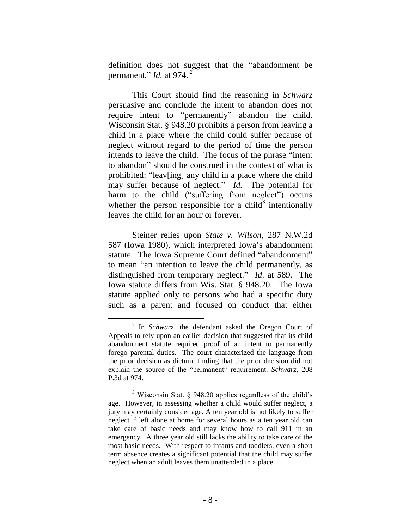definition does not suggest that the "abandonment be permanent." *Id.* at 974. *<sup>2</sup>*

This Court should find the reasoning in *Schwarz* persuasive and conclude the intent to abandon does not require intent to "permanently" abandon the child. Wisconsin Stat. § 948.20 prohibits a person from leaving a child in a place where the child could suffer because of neglect without regard to the period of time the person intends to leave the child. The focus of the phrase "intent to abandon" should be construed in the context of what is prohibited: "leav[ing] any child in a place where the child may suffer because of neglect." *Id.* The potential for harm to the child ("suffering from neglect") occurs whether the person responsible for a child<sup>3</sup> intentionally leaves the child for an hour or forever.

Steiner relies upon *State v. Wilson*, 287 N.W.2d 587 (Iowa 1980), which interpreted Iowa's abandonment statute. The Iowa Supreme Court defined "abandonment" to mean "an intention to leave the child permanently, as distinguished from temporary neglect." *Id*. at 589. The Iowa statute differs from Wis. Stat. § 948.20. The Iowa statute applied only to persons who had a specific duty such as a parent and focused on conduct that either

 $\overline{a}$ 

<sup>2</sup> In *Schwarz*, the defendant asked the Oregon Court of Appeals to rely upon an earlier decision that suggested that its child abandonment statute required proof of an intent to permanently forego parental duties. The court characterized the language from the prior decision as dictum, finding that the prior decision did not explain the source of the "permanent" requirement. *Schwarz*, 208 P.3d at 974.

<sup>3</sup> Wisconsin Stat. § 948.20 applies regardless of the child's age. However, in assessing whether a child would suffer neglect, a jury may certainly consider age. A ten year old is not likely to suffer neglect if left alone at home for several hours as a ten year old can take care of basic needs and may know how to call 911 in an emergency. A three year old still lacks the ability to take care of the most basic needs. With respect to infants and toddlers, even a short term absence creates a significant potential that the child may suffer neglect when an adult leaves them unattended in a place.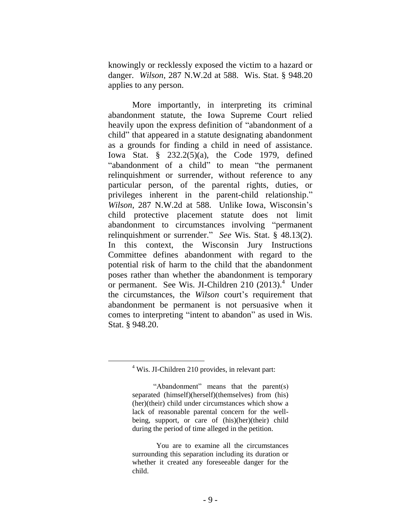knowingly or recklessly exposed the victim to a hazard or danger. *Wilson*, 287 N.W.2d at 588. Wis. Stat. § 948.20 applies to any person.

More importantly, in interpreting its criminal abandonment statute, the Iowa Supreme Court relied heavily upon the express definition of "abandonment of a child" that appeared in a statute designating abandonment as a grounds for finding a child in need of assistance. Iowa Stat. § 232.2(5)(a), the Code 1979, defined "abandonment of a child" to mean "the permanent relinquishment or surrender, without reference to any particular person, of the parental rights, duties, or privileges inherent in the parent-child relationship." *Wilson*, 287 N.W.2d at 588. Unlike Iowa, Wisconsin's child protective placement statute does not limit abandonment to circumstances involving "permanent relinquishment or surrender." *See* Wis. Stat. § 48.13(2). In this context, the Wisconsin Jury Instructions Committee defines abandonment with regard to the potential risk of harm to the child that the abandonment poses rather than whether the abandonment is temporary or permanent. See Wis. JI-Children  $210$  (2013).<sup>4</sup> Under the circumstances, the *Wilson* court's requirement that abandonment be permanent is not persuasive when it comes to interpreting "intent to abandon" as used in Wis. Stat. § 948.20.

 $4$  Wis. JI-Children 210 provides, in relevant part:

<sup>&</sup>quot;Abandonment" means that the parent(s) separated (himself)(herself)(themselves) from (his) (her)(their) child under circumstances which show a lack of reasonable parental concern for the wellbeing, support, or care of (his)(her)(their) child during the period of time alleged in the petition.

You are to examine all the circumstances surrounding this separation including its duration or whether it created any foreseeable danger for the child.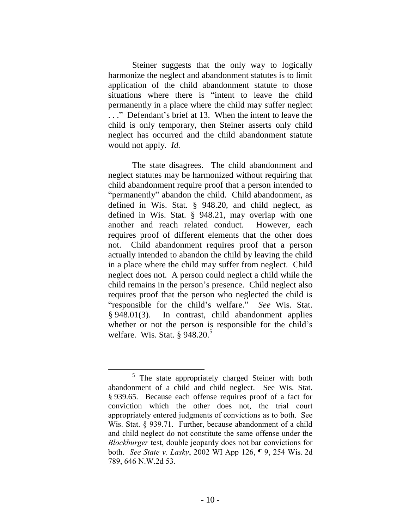Steiner suggests that the only way to logically harmonize the neglect and abandonment statutes is to limit application of the child abandonment statute to those situations where there is "intent to leave the child permanently in a place where the child may suffer neglect . . ." Defendant's brief at 13. When the intent to leave the child is only temporary, then Steiner asserts only child neglect has occurred and the child abandonment statute would not apply. *Id.*

The state disagrees. The child abandonment and neglect statutes may be harmonized without requiring that child abandonment require proof that a person intended to "permanently" abandon the child. Child abandonment, as defined in Wis. Stat. § 948.20, and child neglect, as defined in Wis. Stat. § 948.21, may overlap with one another and reach related conduct. However, each requires proof of different elements that the other does not. Child abandonment requires proof that a person actually intended to abandon the child by leaving the child in a place where the child may suffer from neglect. Child neglect does not. A person could neglect a child while the child remains in the person's presence. Child neglect also requires proof that the person who neglected the child is "responsible for the child's welfare." *See* Wis. Stat. § 948.01(3). In contrast, child abandonment applies whether or not the person is responsible for the child's welfare. Wis. Stat.  $\frac{6}{9}$ 948.20.<sup>5</sup>

 $5$  The state appropriately charged Steiner with both abandonment of a child and child neglect. See Wis. Stat. § 939.65. Because each offense requires proof of a fact for conviction which the other does not, the trial court appropriately entered judgments of convictions as to both. See Wis. Stat. § 939.71. Further, because abandonment of a child and child neglect do not constitute the same offense under the *Blockburger* test, double jeopardy does not bar convictions for both. *See State v. Lasky*, 2002 WI App 126, ¶ 9, 254 Wis. 2d 789, 646 N.W.2d 53.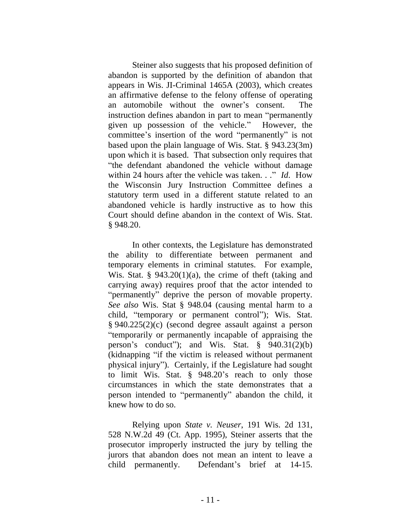Steiner also suggests that his proposed definition of abandon is supported by the definition of abandon that appears in Wis. JI-Criminal 1465A (2003), which creates an affirmative defense to the felony offense of operating an automobile without the owner's consent. The instruction defines abandon in part to mean "permanently given up possession of the vehicle." However, the committee's insertion of the word "permanently" is not based upon the plain language of Wis. Stat. § 943.23(3m) upon which it is based. That subsection only requires that "the defendant abandoned the vehicle without damage within 24 hours after the vehicle was taken. . ." *Id*. How the Wisconsin Jury Instruction Committee defines a statutory term used in a different statute related to an abandoned vehicle is hardly instructive as to how this Court should define abandon in the context of Wis. Stat. § 948.20.

In other contexts, the Legislature has demonstrated the ability to differentiate between permanent and temporary elements in criminal statutes. For example, Wis. Stat. §  $943.20(1)(a)$ , the crime of theft (taking and carrying away) requires proof that the actor intended to "permanently" deprive the person of movable property. *See also* Wis. Stat § 948.04 (causing mental harm to a child, "temporary or permanent control"); Wis. Stat. § 940.225(2)(c) (second degree assault against a person "temporarily or permanently incapable of appraising the person's conduct"); and Wis. Stat. § 940.31(2)(b) (kidnapping "if the victim is released without permanent physical injury"). Certainly, if the Legislature had sought to limit Wis. Stat. § 948.20's reach to only those circumstances in which the state demonstrates that a person intended to "permanently" abandon the child, it knew how to do so.

Relying upon *State v. Neuser*, 191 Wis. 2d 131, 528 N.W.2d 49 (Ct. App. 1995), Steiner asserts that the prosecutor improperly instructed the jury by telling the jurors that abandon does not mean an intent to leave a child permanently. Defendant's brief at 14-15.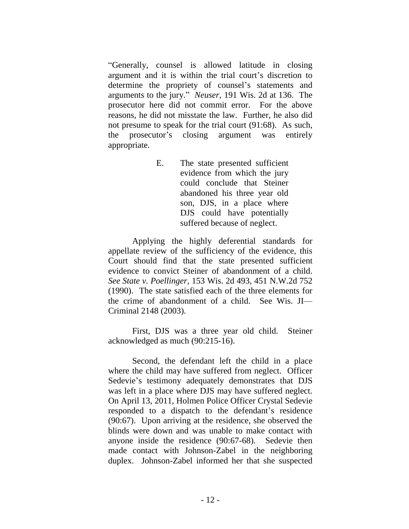"Generally, counsel is allowed latitude in closing argument and it is within the trial court's discretion to determine the propriety of counsel's statements and arguments to the jury." *Neuser,* 191 Wis. 2d at 136. The prosecutor here did not commit error. For the above reasons, he did not misstate the law. Further, he also did not presume to speak for the trial court (91:68). As such, the prosecutor's closing argument was entirely appropriate.

> E. The state presented sufficient evidence from which the jury could conclude that Steiner abandoned his three year old son, DJS, in a place where DJS could have potentially suffered because of neglect.

Applying the highly deferential standards for appellate review of the sufficiency of the evidence, this Court should find that the state presented sufficient evidence to convict Steiner of abandonment of a child. *See State v. Poellinger*, 153 Wis. 2d 493, 451 N.W.2d 752 (1990). The state satisfied each of the three elements for the crime of abandonment of a child. See Wis. JI— Criminal 2148 (2003).

First, DJS was a three year old child. Steiner acknowledged as much (90:215-16).

Second, the defendant left the child in a place where the child may have suffered from neglect. Officer Sedevie's testimony adequately demonstrates that DJS was left in a place where DJS may have suffered neglect. On April 13, 2011, Holmen Police Officer Crystal Sedevie responded to a dispatch to the defendant's residence (90:67). Upon arriving at the residence, she observed the blinds were down and was unable to make contact with anyone inside the residence (90:67-68). Sedevie then made contact with Johnson-Zabel in the neighboring duplex. Johnson-Zabel informed her that she suspected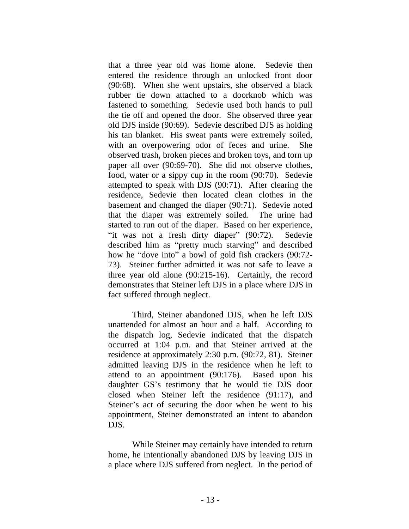that a three year old was home alone. Sedevie then entered the residence through an unlocked front door (90:68). When she went upstairs, she observed a black rubber tie down attached to a doorknob which was fastened to something. Sedevie used both hands to pull the tie off and opened the door. She observed three year old DJS inside (90:69). Sedevie described DJS as holding his tan blanket. His sweat pants were extremely soiled, with an overpowering odor of feces and urine. She observed trash, broken pieces and broken toys, and torn up paper all over (90:69-70). She did not observe clothes, food, water or a sippy cup in the room (90:70). Sedevie attempted to speak with DJS (90:71). After clearing the residence, Sedevie then located clean clothes in the basement and changed the diaper (90:71). Sedevie noted that the diaper was extremely soiled. The urine had started to run out of the diaper. Based on her experience, "it was not a fresh dirty diaper" (90:72). Sedevie described him as "pretty much starving" and described how he "dove into" a bowl of gold fish crackers (90:72- 73). Steiner further admitted it was not safe to leave a three year old alone (90:215-16). Certainly, the record demonstrates that Steiner left DJS in a place where DJS in fact suffered through neglect.

Third, Steiner abandoned DJS, when he left DJS unattended for almost an hour and a half. According to the dispatch log, Sedevie indicated that the dispatch occurred at 1:04 p.m. and that Steiner arrived at the residence at approximately 2:30 p.m. (90:72, 81). Steiner admitted leaving DJS in the residence when he left to attend to an appointment (90:176). Based upon his daughter GS's testimony that he would tie DJS door closed when Steiner left the residence (91:17), and Steiner's act of securing the door when he went to his appointment, Steiner demonstrated an intent to abandon DJS.

While Steiner may certainly have intended to return home, he intentionally abandoned DJS by leaving DJS in a place where DJS suffered from neglect. In the period of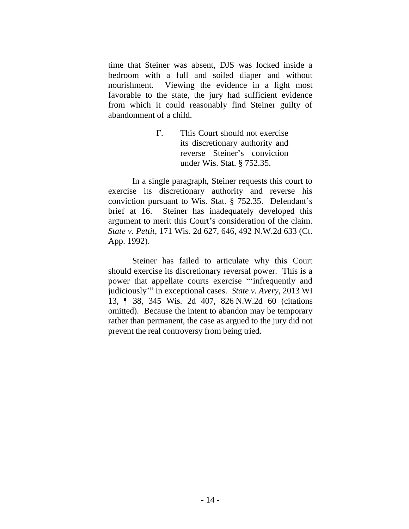time that Steiner was absent, DJS was locked inside a bedroom with a full and soiled diaper and without nourishment. Viewing the evidence in a light most favorable to the state, the jury had sufficient evidence from which it could reasonably find Steiner guilty of abandonment of a child.

> F. This Court should not exercise its discretionary authority and reverse Steiner's conviction under Wis. Stat. § 752.35.

In a single paragraph, Steiner requests this court to exercise its discretionary authority and reverse his conviction pursuant to Wis. Stat. § 752.35. Defendant's brief at 16. Steiner has inadequately developed this argument to merit this Court's consideration of the claim. *State v. Pettit*, 171 Wis. 2d 627, 646, 492 N.W.2d 633 (Ct. App. 1992).

Steiner has failed to articulate why this Court should exercise its discretionary reversal power. This is a power that appellate courts exercise "'infrequently and judiciously'" in exceptional cases. *State v. Avery,* 2013 WI 13, ¶ 38, 345 Wis. 2d 407, 826 N.W.2d 60 (citations omitted). Because the intent to abandon may be temporary rather than permanent, the case as argued to the jury did not prevent the real controversy from being tried.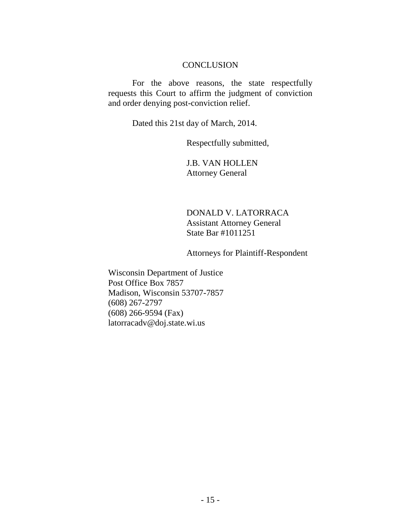#### **CONCLUSION**

For the above reasons, the state respectfully requests this Court to affirm the judgment of conviction and order denying post-conviction relief.

Dated this 21st day of March, 2014.

Respectfully submitted,

J.B. VAN HOLLEN Attorney General

DONALD V. LATORRACA Assistant Attorney General State Bar #1011251

Attorneys for Plaintiff-Respondent

Wisconsin Department of Justice Post Office Box 7857 Madison, Wisconsin 53707-7857 (608) 267-2797 (608) 266-9594 (Fax) latorracadv@doj.state.wi.us